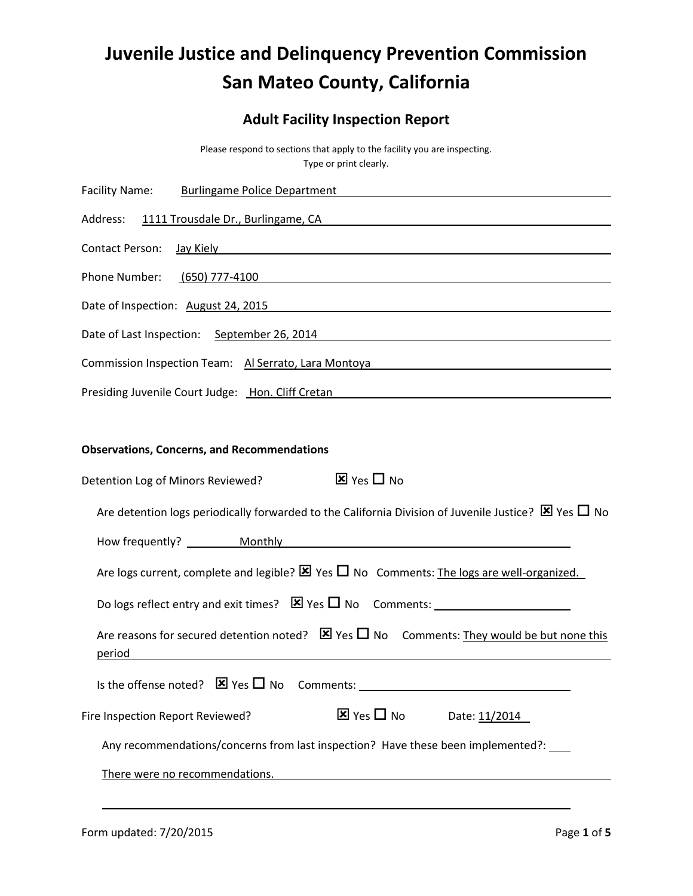## **Juvenile Justice and Delinquency Prevention Commission San Mateo County, California**

## **Adult Facility Inspection Report**

Please respond to sections that apply to the facility you are inspecting. Type or print clearly.

| <b>Facility Name:</b><br><b>Burlingame Police Department Container and Container and Container and Container and Container and Container</b>                                                                                   |
|--------------------------------------------------------------------------------------------------------------------------------------------------------------------------------------------------------------------------------|
| Address:<br>1111 Trousdale Dr., Burlingame, CA example and the control of the control of the control of the control of the                                                                                                     |
| Contact Person:                                                                                                                                                                                                                |
| Phone Number:                                                                                                                                                                                                                  |
| Date of Inspection: August 24, 2015                                                                                                                                                                                            |
| Date of Last Inspection: September 26, 2014                                                                                                                                                                                    |
| Commission Inspection Team: Al Serrato, Lara Montoya Manusian Manusian Manusian Manusian Manusian Manusian                                                                                                                     |
| Presiding Juvenile Court Judge: Hon. Cliff Cretan National Account of the Court of the Court of the Court of the Court of the Court of the Court of the Court of the Court of the Court of the Court of the Court of the Court |
|                                                                                                                                                                                                                                |
| <b>Observations, Concerns, and Recommendations</b>                                                                                                                                                                             |
| $\overline{\mathbf{x}}$ Yes $\Box$ No<br>Detention Log of Minors Reviewed?                                                                                                                                                     |
| Are detention logs periodically forwarded to the California Division of Juvenile Justice? $\boxtimes$ Yes $\Box$ No                                                                                                            |
|                                                                                                                                                                                                                                |
| Are logs current, complete and legible? $\boxtimes$ Yes $\square$ No Comments: The logs are well-organized.                                                                                                                    |
|                                                                                                                                                                                                                                |
| Are reasons for secured detention noted? $\boxtimes$ Yes $\Box$ No Comments: They would be but none this<br>period<br><u> 1989 - Johann Stoff, Amerikaansk politiker († 1908)</u>                                              |
| Is the offense noted? $\boxtimes$ Yes $\square$ No Comments: _______________________________                                                                                                                                   |
| $\overline{\mathbf{x}}$ Yes $\Box$ No<br>Fire Inspection Report Reviewed?<br>Date: 11/2014                                                                                                                                     |
| Any recommendations/concerns from last inspection? Have these been implemented?:                                                                                                                                               |
| There were no recommendations.                                                                                                                                                                                                 |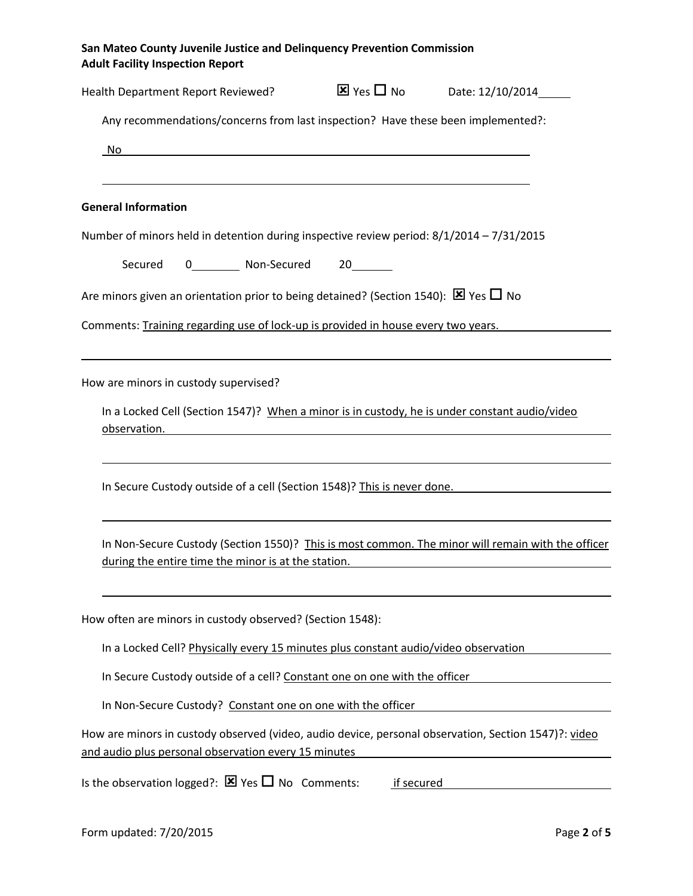**San Mateo County Juvenile Justice and Delinquency Prevention Commission Adult Facility Inspection Report**

| Health Department Report Reviewed?                                                                                                                                                                                                    | $\overline{\mathbf{X}}$ Yes $\Box$ No Date: 12/10/2014 |  |
|---------------------------------------------------------------------------------------------------------------------------------------------------------------------------------------------------------------------------------------|--------------------------------------------------------|--|
| Any recommendations/concerns from last inspection? Have these been implemented?:                                                                                                                                                      |                                                        |  |
| No<br><u> 1989 - Andrea Station Barbara, amerikan basar dan berasal di basa dan basa dan basa dan basa dan basa dalam </u>                                                                                                            |                                                        |  |
|                                                                                                                                                                                                                                       |                                                        |  |
| <b>General Information</b>                                                                                                                                                                                                            |                                                        |  |
| Number of minors held in detention during inspective review period: 8/1/2014 - 7/31/2015                                                                                                                                              |                                                        |  |
| 0__________ Non-Secured 20_______<br>Secured                                                                                                                                                                                          |                                                        |  |
| Are minors given an orientation prior to being detained? (Section 1540): $\boxtimes$ Yes $\Box$ No                                                                                                                                    |                                                        |  |
| Comments: Training regarding use of lock-up is provided in house every two years.                                                                                                                                                     |                                                        |  |
|                                                                                                                                                                                                                                       |                                                        |  |
| How are minors in custody supervised?                                                                                                                                                                                                 |                                                        |  |
| In a Locked Cell (Section 1547)? When a minor is in custody, he is under constant audio/video<br>observation.<br><u> 1989 - Johann John Stone, markin film yn y brening yn y brening yn y brening y brening yn y brening y brenin</u> |                                                        |  |
|                                                                                                                                                                                                                                       |                                                        |  |
| In Secure Custody outside of a cell (Section 1548)? This is never done.                                                                                                                                                               |                                                        |  |
|                                                                                                                                                                                                                                       |                                                        |  |
| In Non-Secure Custody (Section 1550)? This is most common. The minor will remain with the officer<br>during the entire time the minor is at the station.                                                                              |                                                        |  |
|                                                                                                                                                                                                                                       |                                                        |  |
| How often are minors in custody observed? (Section 1548):                                                                                                                                                                             |                                                        |  |
| In a Locked Cell? Physically every 15 minutes plus constant audio/video observation                                                                                                                                                   |                                                        |  |
| In Secure Custody outside of a cell? Constant one on one with the officer                                                                                                                                                             |                                                        |  |
| In Non-Secure Custody? Constant one on one with the officer                                                                                                                                                                           |                                                        |  |
| How are minors in custody observed (video, audio device, personal observation, Section 1547)?: video<br>and audio plus personal observation every 15 minutes                                                                          |                                                        |  |
| Is the observation logged?: $\boxtimes$ Yes $\square$ No Comments:                                                                                                                                                                    | if secured                                             |  |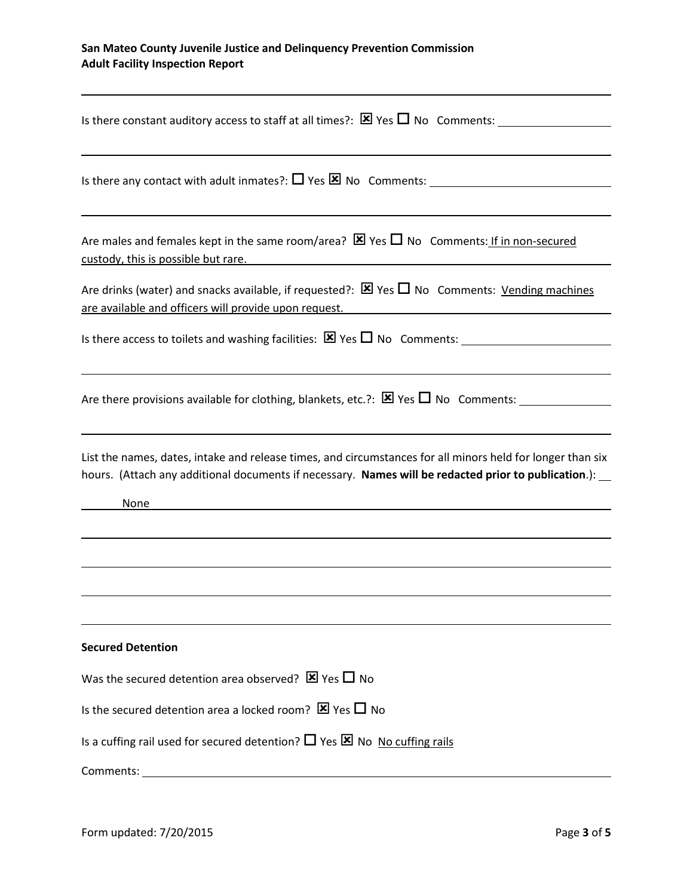## **San Mateo County Juvenile Justice and Delinquency Prevention Commission Adult Facility Inspection Report**

| Is there constant auditory access to staff at all times?: $\boxtimes$ Yes $\Box$ No Comments:                                                                                                                                                                                                                                                  |
|------------------------------------------------------------------------------------------------------------------------------------------------------------------------------------------------------------------------------------------------------------------------------------------------------------------------------------------------|
| Is there any contact with adult inmates?: $\Box$ Yes $\boxtimes$ No Comments:                                                                                                                                                                                                                                                                  |
| Are males and females kept in the same room/area? $\boxtimes$ Yes $\Box$ No Comments: If in non-secured<br><u>custody, this is possible but rare.</u> The contract of the contract of the contract of the contract of the contract of the contract of the contract of the contract of the contract of the contract of the contract of the cont |
| Are drinks (water) and snacks available, if requested?: $\boxtimes$ Yes $\Box$ No Comments: Vending machines<br>are available and officers will provide upon request.                                                                                                                                                                          |
|                                                                                                                                                                                                                                                                                                                                                |
| Are there provisions available for clothing, blankets, etc.?: $\boxtimes$ Yes $\Box$ No Comments:                                                                                                                                                                                                                                              |
| List the names, dates, intake and release times, and circumstances for all minors held for longer than six<br>hours. (Attach any additional documents if necessary. Names will be redacted prior to publication.):<br>None                                                                                                                     |
|                                                                                                                                                                                                                                                                                                                                                |
| <b>Secured Detention</b>                                                                                                                                                                                                                                                                                                                       |
| Was the secured detention area observed? $\boxtimes$ Yes $\Box$ No                                                                                                                                                                                                                                                                             |
| Is the secured detention area a locked room? $\boxtimes$ Yes $\Box$ No                                                                                                                                                                                                                                                                         |
| Is a cuffing rail used for secured detention? $\Box$ Yes $\boxtimes$ No No cuffing rails                                                                                                                                                                                                                                                       |
| Comments:                                                                                                                                                                                                                                                                                                                                      |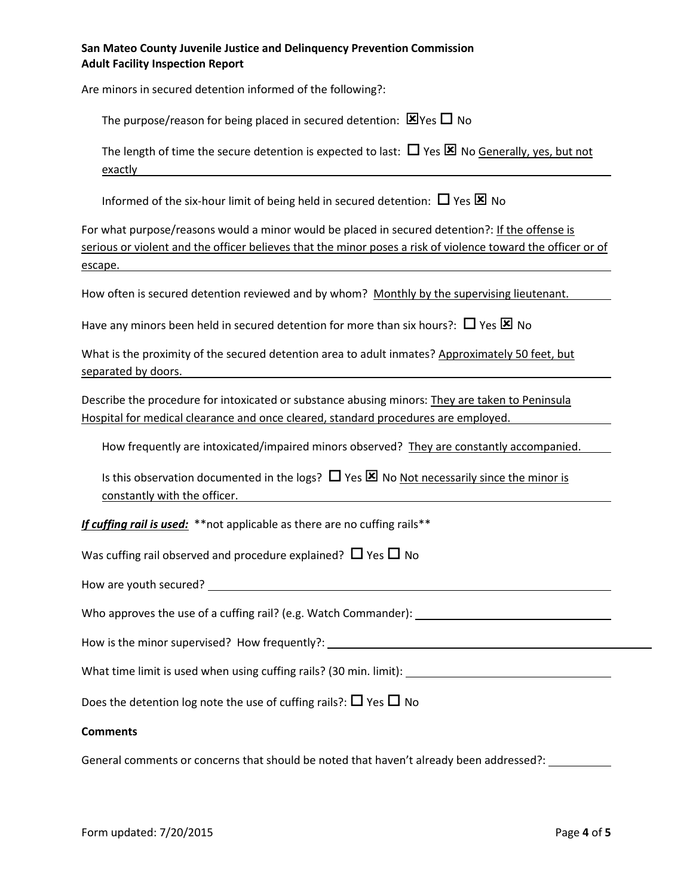| San Mateo County Juvenile Justice and Delinguency Prevention Commission |
|-------------------------------------------------------------------------|
| <b>Adult Facility Inspection Report</b>                                 |

| Are minors in secured detention informed of the following?:                                                                                                                                                                       |
|-----------------------------------------------------------------------------------------------------------------------------------------------------------------------------------------------------------------------------------|
| The purpose/reason for being placed in secured detention: $\boxtimes$ Yes $\Box$ No                                                                                                                                               |
| The length of time the secure detention is expected to last: $\Box$ Yes $\boxtimes$ No Generally, yes, but not<br>exactly                                                                                                         |
| Informed of the six-hour limit of being held in secured detention: $\Box$ Yes $\boxtimes$ No                                                                                                                                      |
| For what purpose/reasons would a minor would be placed in secured detention?: If the offense is<br>serious or violent and the officer believes that the minor poses a risk of violence toward the officer or of<br><u>escape.</u> |
| How often is secured detention reviewed and by whom? Monthly by the supervising lieutenant.                                                                                                                                       |
| Have any minors been held in secured detention for more than six hours?: $\Box$ Yes $\boxtimes$ No                                                                                                                                |
| What is the proximity of the secured detention area to adult inmates? Approximately 50 feet, but<br>separated by doors.                                                                                                           |
| Describe the procedure for intoxicated or substance abusing minors: They are taken to Peninsula<br>Hospital for medical clearance and once cleared, standard procedures are employed.                                             |
| How frequently are intoxicated/impaired minors observed? They are constantly accompanied.                                                                                                                                         |
| Is this observation documented in the logs? $\Box$ Yes $\boxtimes$ No Not necessarily since the minor is<br>constantly with the officer.                                                                                          |
| If cuffing rail is used: ** not applicable as there are no cuffing rails**                                                                                                                                                        |
| Was cuffing rail observed and procedure explained? $\Box$ Yes $\Box$ No                                                                                                                                                           |
|                                                                                                                                                                                                                                   |
|                                                                                                                                                                                                                                   |
| How is the minor supervised? How frequently?: __________________________________                                                                                                                                                  |
|                                                                                                                                                                                                                                   |
| Does the detention log note the use of cuffing rails?: $\Box$ Yes $\Box$ No                                                                                                                                                       |
| <b>Comments</b>                                                                                                                                                                                                                   |

General comments or concerns that should be noted that haven't already been addressed?: \_\_\_\_\_\_\_\_\_\_